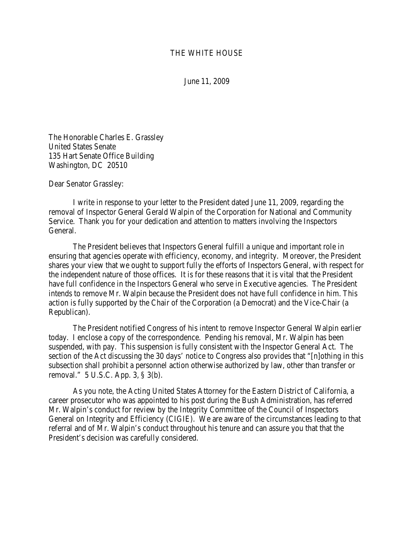## THE WHITE HOUSE

June 11, 2009

The Honorable Charles E. Grassley United States Senate 135 Hart Senate Office Building Washington, DC 20510

Dear Senator Grassley:

I write in response to your letter to the President dated June 11, 2009, regarding the removal of Inspector General Gerald Walpin of the Corporation for National and Community Service. Thank you for your dedication and attention to matters involving the Inspectors General.

The President believes that Inspectors General fulfill a unique and important role in ensuring that agencies operate with efficiency, economy, and integrity. Moreover, the President shares your view that we ought to support fully the efforts of Inspectors General, with respect for the independent nature of those offices. It is for these reasons that it is vital that the President have full confidence in the Inspectors General who serve in Executive agencies. The President intends to remove Mr. Walpin because the President does not have full confidence in him. This action is fully supported by the Chair of the Corporation (a Democrat) and the Vice-Chair (a Republican).

The President notified Congress of his intent to remove Inspector General Walpin earlier today. I enclose a copy of the correspondence. Pending his removal, Mr. Walpin has been suspended, with pay. This suspension is fully consistent with the Inspector General Act. The section of the Act discussing the 30 days' notice to Congress also provides that "[n]othing in this subsection shall prohibit a personnel action otherwise authorized by law, other than transfer or removal." 5 U.S.C. App. 3, § 3(b).

As you note, the Acting United States Attorney for the Eastern District of California, a career prosecutor who was appointed to his post during the Bush Administration, has referred Mr. Walpin's conduct for review by the Integrity Committee of the Council of Inspectors General on Integrity and Efficiency (CIGIE). We are aware of the circumstances leading to that referral and of Mr. Walpin's conduct throughout his tenure and can assure you that that the President's decision was carefully considered.